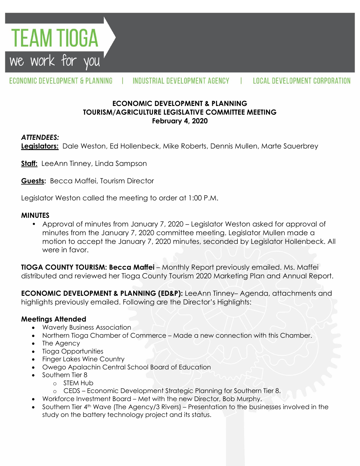**TEAM TIOGA** we work for you

#### ECONOMIC DEVELOPMENT & PLANNING INDUSTRIAL DEVELOPMENT AGENCY LOCAL DEVELOPMENT CORPORATION

### **ECONOMIC DEVELOPMENT & PLANNING TOURISM/AGRICULTURE LEGISLATIVE COMMITTEE MEETING February 4, 2020**

### *ATTENDEES:*

**Legislators:** Dale Weston, Ed Hollenbeck, Mike Roberts, Dennis Mullen, Marte Sauerbrey

**Staff:** LeeAnn Tinney, Linda Sampson

**Guests:** Becca Maffei, Tourism Director

Legislator Weston called the meeting to order at 1:00 P.M.

### **MINUTES**

• Approval of minutes from January 7, 2020 – Legislator Weston asked for approval of minutes from the January 7, 2020 committee meeting. Legislator Mullen made a motion to accept the January 7, 2020 minutes, seconded by Legislator Hollenbeck. All were in favor.

**TIOGA COUNTY TOURISM: Becca Maffei** – Monthly Report previously emailed. Ms. Maffei distributed and reviewed her Tioga County Tourism 2020 Marketing Plan and Annual Report.

**ECONOMIC DEVELOPMENT & PLANNING (ED&P):** LeeAnn Tinney– Agenda, attachments and highlights previously emailed. Following are the Director's Highlights:

# **Meetings Attended**

- Waverly Business Association
- Northern Tioga Chamber of Commerce Made a new connection with this Chamber.
- The Agency
- Tioga Opportunities
- Finger Lakes Wine Country
- Owego Apalachin Central School Board of Education
- Southern Tier 8
	- o STEM Hub
	- o CEDS Economic Development Strategic Planning for Southern Tier 8.
- Workforce Investment Board Met with the new Director, Bob Murphy.
- Southern Tier 4th Wave (The Agency/3 Rivers) Presentation to the businesses involved in the study on the battery technology project and its status.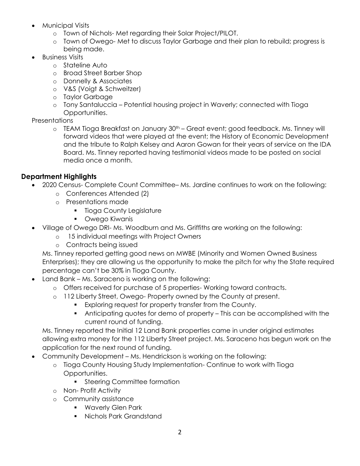- Municipal Visits
	- o Town of Nichols- Met regarding their Solar Project/PILOT.
	- o Town of Owego- Met to discuss Taylor Garbage and their plan to rebuild; progress is being made.
- Business Visits
	- o Stateline Auto
	- o Broad Street Barber Shop
	- o Donnelly & Associates
	- o V&S (Voigt & Schweitzer)
	- o Taylor Garbage
	- o Tony Santaluccia Potential housing project in Waverly; connected with Tioga Opportunities.

#### **Presentations**

 $\circ$  TEAM Tioga Breakfast on January 30<sup>th</sup> – Great event; good feedback. Ms. Tinney will forward videos that were played at the event; the History of Economic Development and the tribute to Ralph Kelsey and Aaron Gowan for their years of service on the IDA Board. Ms. Tinney reported having testimonial videos made to be posted on social media once a month.

## **Department Highlights**

- 2020 Census- Complete Count Committee– Ms. Jardine continues to work on the following:
	- o Conferences Attended (2)
	- o Presentations made
		- **Tioga County Legislature**
		- Owego Kiwanis
- Village of Owego DRI- Ms. Woodburn and Ms. Griffiths are working on the following:
	- o 15 individual meetings with Project Owners
	- o Contracts being issued

Ms. Tinney reported getting good news on MWBE (Minority and Women Owned Business Enterprises); they are allowing us the opportunity to make the pitch for why the State required percentage can't be 30% in Tioga County.

- Land Bank Ms. Saraceno is working on the following:
	- o Offers received for purchase of 5 properties- Working toward contracts.
	- o 112 Liberty Street, Owego- Property owned by the County at present.
		- Exploring request for property transfer from the County.
		- Anticipating quotes for demo of property This can be accomplished with the current round of funding.

Ms. Tinney reported the Initial 12 Land Bank properties came in under original estimates allowing extra money for the 112 Liberty Street project. Ms. Saraceno has begun work on the application for the next round of funding.

- Community Development Ms. Hendrickson is working on the following:
	- o Tioga County Housing Study Implementation- Continue to work with Tioga Opportunities.
		- **Steering Committee formation**
	- o Non- Profit Activity
	- o Community assistance
		- **Waverly Glen Park**
		- Nichols Park Grandstand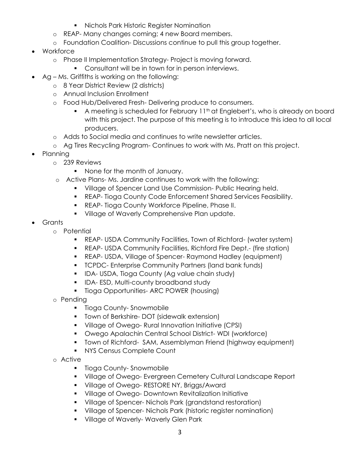- **Nichols Park Historic Register Nomination**
- o REAP- Many changes coming; 4 new Board members.
- o Foundation Coalition- Discussions continue to pull this group together.
- Workforce
	- o Phase II Implementation Strategy- Project is moving forward.
		- **Consultant will be in town for in person interviews.**
- Ag Ms. Griffiths is working on the following:
	- o 8 Year District Review (2 districts)
	- o Annual Inclusion Enrollment
	- o Food Hub/Delivered Fresh- Delivering produce to consumers.
		- A meeting is scheduled for February 11<sup>th</sup> at Englebert's, who is already on board with this project. The purpose of this meeting is to introduce this idea to all local producers.
	- o Adds to Social media and continues to write newsletter articles.
	- o Ag Tires Recycling Program- Continues to work with Ms. Pratt on this project.
- Planning
	- o 239 Reviews
		- None for the month of January.
	- o Active Plans- Ms. Jardine continues to work with the following:
		- **Village of Spencer Land Use Commission- Public Hearing held.**
		- REAP- Tioga County Code Enforcement Shared Services Feasibility.
		- **REAP- Tioga County Workforce Pipeline, Phase II.**
		- **Village of Waverly Comprehensive Plan update.**
- Grants
	- o Potential
		- REAP- USDA Community Facilities, Town of Richford- (water system)
		- REAP- USDA Community Facilities, Richford Fire Dept.- (fire station)
		- REAP- USDA, Village of Spencer- Raymond Hadley (equipment)
		- **TCPDC- Enterprise Community Partners (land bank funds)**
		- **IDA- USDA, Tioga County (Ag value chain study)**
		- **IDA-ESD, Multi-county broadband study**
		- **Tioga Opportunities- ARC POWER (housing)**
	- o Pending
		- **Tioga County-Snowmobile**
		- **Town of Berkshire- DOT (sidewalk extension)**
		- Village of Owego- Rural Innovation Initiative (CPSI)
		- Owego Apalachin Central School District- WDI (workforce)
		- **T** Town of Richford- SAM, Assemblyman Friend (highway equipment)
		- **NYS Census Complete Count**
	- o Active
		- Tioga County-Snowmobile
		- **Village of Owego- Evergreen Cemetery Cultural Landscape Report**
		- **Village of Owego- RESTORE NY, Briggs/Award**
		- **Village of Owego- Downtown Revitalization Initiative**
		- **Village of Spencer- Nichols Park (grandstand restoration)**
		- **Village of Spencer- Nichols Park (historic register nomination)**
		- **Village of Waverly- Waverly Glen Park**